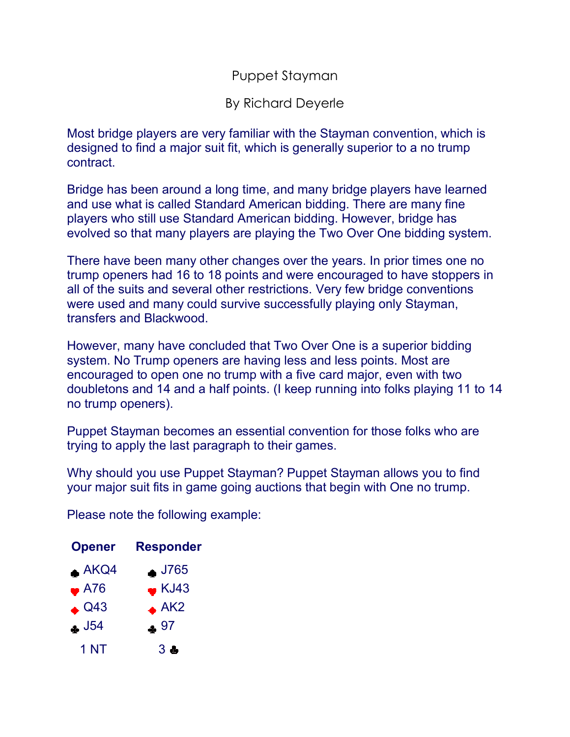## Puppet Stayman

## By Richard Deyerle

Most bridge players are very familiar with the Stayman convention, which is designed to find a major suit fit, which is generally superior to a no trump contract.

Bridge has been around a long time, and many bridge players have learned and use what is called Standard American bidding. There are many fine players who still use Standard American bidding. However, bridge has evolved so that many players are playing the Two Over One bidding system.

There have been many other changes over the years. In prior times one no trump openers had 16 to 18 points and were encouraged to have stoppers in all of the suits and several other restrictions. Very few bridge conventions were used and many could survive successfully playing only Stayman, transfers and Blackwood.

However, many have concluded that Two Over One is a superior bidding system. No Trump openers are having less and less points. Most are encouraged to open one no trump with a five card major, even with two doubletons and 14 and a half points. (I keep running into folks playing 11 to 14 no trump openers).

Puppet Stayman becomes an essential convention for those folks who are trying to apply the last paragraph to their games.

Why should you use Puppet Stayman? Puppet Stayman allows you to find your major suit fits in game going auctions that begin with One no trump.

Please note the following example:

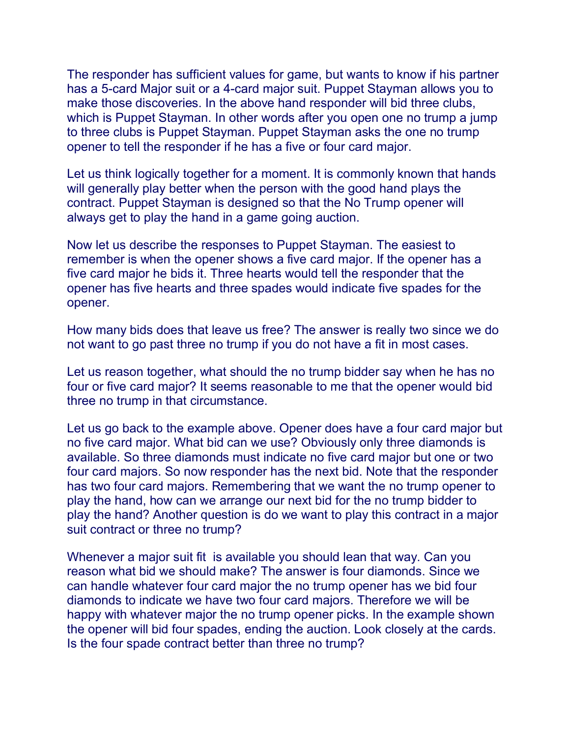The responder has sufficient values for game, but wants to know if his partner has a 5-card Major suit or a 4-card major suit. Puppet Stayman allows you to make those discoveries. In the above hand responder will bid three clubs, which is Puppet Stayman. In other words after you open one no trump a jump to three clubs is Puppet Stayman. Puppet Stayman asks the one no trump opener to tell the responder if he has a five or four card major.

Let us think logically together for a moment. It is commonly known that hands will generally play better when the person with the good hand plays the contract. Puppet Stayman is designed so that the No Trump opener will always get to play the hand in a game going auction.

Now let us describe the responses to Puppet Stayman. The easiest to remember is when the opener shows a five card major. If the opener has a five card major he bids it. Three hearts would tell the responder that the opener has five hearts and three spades would indicate five spades for the opener.

How many bids does that leave us free? The answer is really two since we do not want to go past three no trump if you do not have a fit in most cases.

Let us reason together, what should the no trump bidder say when he has no four or five card major? It seems reasonable to me that the opener would bid three no trump in that circumstance.

Let us go back to the example above. Opener does have a four card major but no five card major. What bid can we use? Obviously only three diamonds is available. So three diamonds must indicate no five card major but one or two four card majors. So now responder has the next bid. Note that the responder has two four card majors. Remembering that we want the no trump opener to play the hand, how can we arrange our next bid for the no trump bidder to play the hand? Another question is do we want to play this contract in a major suit contract or three no trump?

Whenever a major suit fit is available you should lean that way. Can you reason what bid we should make? The answer is four diamonds. Since we can handle whatever four card major the no trump opener has we bid four diamonds to indicate we have two four card majors. Therefore we will be happy with whatever major the no trump opener picks. In the example shown the opener will bid four spades, ending the auction. Look closely at the cards. Is the four spade contract better than three no trump?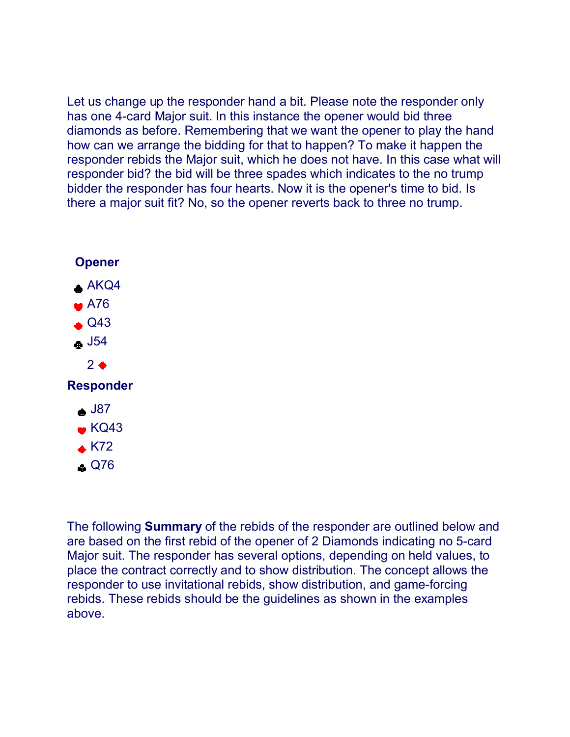Let us change up the responder hand a bit. Please note the responder only has one 4-card Major suit. In this instance the opener would bid three diamonds as before. Remembering that we want the opener to play the hand how can we arrange the bidding for that to happen? To make it happen the responder rebids the Major suit, which he does not have. In this case what will responder bid? the bid will be three spades which indicates to the no trump bidder the responder has four hearts. Now it is the opener's time to bid. Is there a major suit fit? No, so the opener reverts back to three no trump.



The following **Summary** of the rebids of the responder are outlined below and are based on the first rebid of the opener of 2 Diamonds indicating no 5-card Major suit. The responder has several options, depending on held values, to place the contract correctly and to show distribution. The concept allows the responder to use invitational rebids, show distribution, and game-forcing rebids. These rebids should be the guidelines as shown in the examples above.